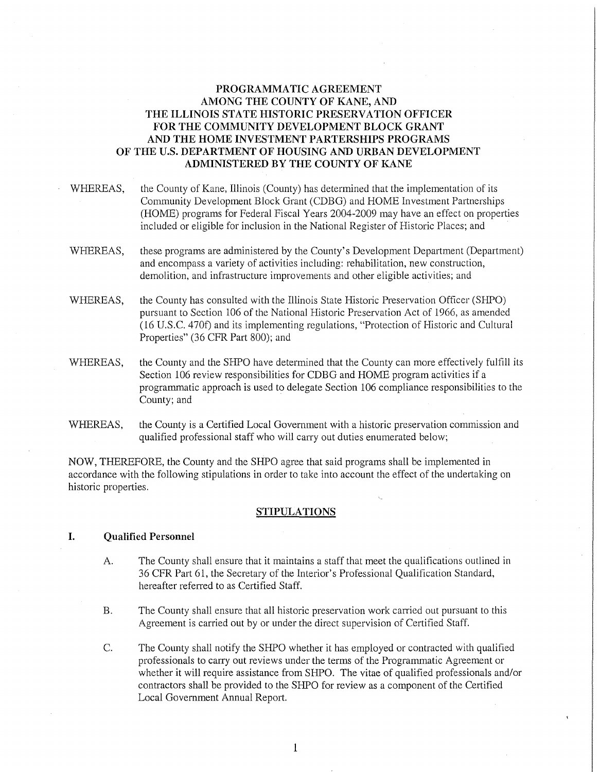# **PROGRAMMATIC AGREEMENT AMONG THE COUNTY OF KANE, AND THE ILLINOIS STATE HISTORIC PRESERVATION OFFICER FOR THE COMMUNITY DEVELOPMENT BLOCK GRANT AND THE HOME INVESTMENT PARTERSHIPS PROGRAMS OF THE U.S. DEPARTMENT OF HOUSING AND URBAN DEVELOPMENT ADMINISTERED BY THE COUNTY OF KANE**

- WHEREAS, the County of Kane, Illinois (County) has determined that the implementation of its Community Development Block Grant (CDBG) and HOME Investment Partnerships (HOME) programs for Federal Fiscal Years 2004-2009 may have an effect on properties included or eligible for inclusion in the National Register of Historic Places; and
- WHEREAS, these programs are administered by the County's Development Department (Department) and encompass a variety of activities including: rehabilitation, new construction, demolition, and infrastructure improvements and other eligible activities; and
- WHEREAS, the County has consulted with the Illinois State Historic Preservation Officer (SHPO) pursuant to Section 106 of the National Historic Preservation Act of 1966, as amended (16 U.S.C. 470f) and its implementing regulations, "Protection of Historic and Cultural Properties" (36 CFR Part 800); and
- WHEREAS, the County and the SHPO have determined that the County can more effectively fulfill its Section 106 review responsibilities for CDBG and HOME program activities if a programmatic approach is used to delegate Section 106 compliance responsibilities to the County; and
- WHEREAS, the County is a Certified Local Government with a historic preservation commission and qualified professional staff who will carry out duties enumerated below;

NOW, THEREFORE, the County and the SHPO agree that said programs shall be implemented in accordance with the following stipulations in order to take into account the effect of the undertaking on historic properties.

#### **STIPULATIONS**

#### **I. Qualified Personnel**

- A. The County shall ensure that it maintains a staff that meet the qualifications outlined in 36 CFR Part 61, the Secretary of the Interior's Professional Qualification Standard, hereafter referred to as Certified Staff.
- B. The County shall ensure that all historic preservation work carried out pursuant to this Agreement is carried out by or under the direct supervision of Certified Staff.
- C. The County shall notify the SHPO whether it has employed or contracted with qualified professionals to carry out reviews under the terms of the Programmatic Agreement or whether it will require assistance from SHPO. The vitae of qualified professionals and/or contractors shall be provided to the SHPO for review as a component of the Certified Local Government Annual Report.

1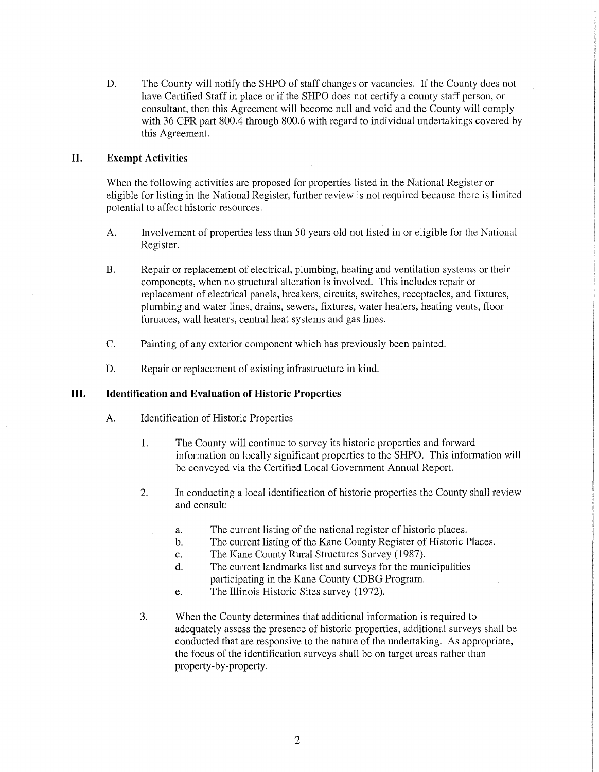D. The County will notify the SHPO of staff changes or vacancies. If the County does not have Certified Staff in place or if the SHPO does not certify a county staff person, or consultant, then this Agreement will become null and void and the County will comply with 36 CFR part 800.4 through 800.6 with regard to individual undertakings covered by this Agreement.

# **II. Exempt Activities**

When the following activities are proposed for properties listed in the National Register or eligible for listing in the National Register, further review is not required because there is limited potential to affect historic resources.

- A. Involvement of properties less than 50 years old not listed in or eligible for the National Register.
- B. Repair or replacement of electrical, plumbing, heating and ventilation systems or their components, when no structural alteration is involved. This includes repair or replacement of electrical panels, breakers, circuits, switches, receptacles, and fixtures, plumbing and water lines, drains, sewers, fixtures, water heaters, heating vents, floor furnaces, wall heaters, central heat systems and gas lines.
- C. Painting of any exterior component which has previously been painted.
- D. Repair or replacement of existing infrastructure in kind.

# **III. Identification and Evaluation of Historic Properties**

- A. Identification of Historic Properties
	- 1. The County will continue to survey its historic properties and forward information on locally significant properties to the SHPO. This information will be conveyed via the Certified Local Government Annual Report.
	- 2. In conducting a local identification of historic properties the County shall review and consult:
		- a. The current listing of the national register of historic places.
		- b. The current listing of the Kane County Register of Historic Places.
		- c. The Kane County Rural Structures Survey (1987).
		- d. The current landmarks list and surveys for the municipalities participating in the Kane County CDBG Program.
		- e. The Illinois Historic Sites survey (1972).
	- 3. When the County determines that additional information is required to adequately assess the presence of historic properties, additional surveys shall be conducted that are responsive to the nature of the undertaking. As appropriate, the focus of the identification surveys shall be on target areas rather than property-by-property.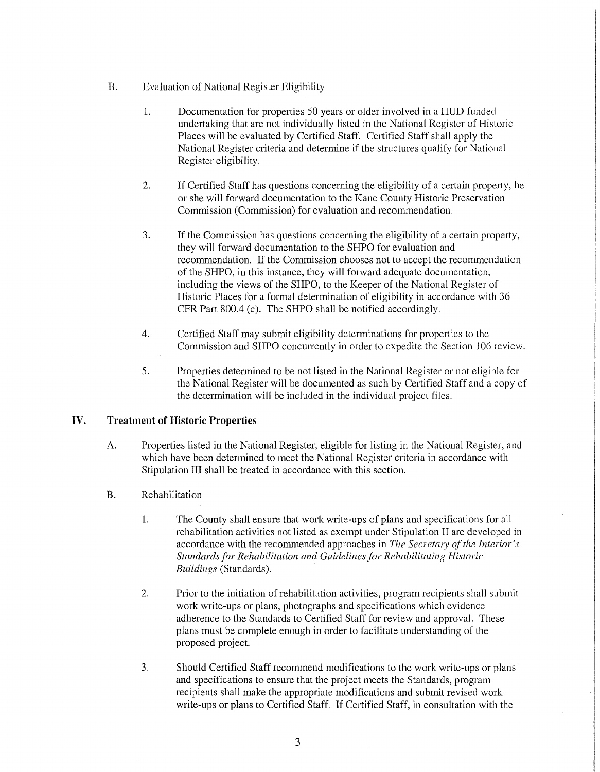- B. Evaluation of National Register Eligibility
	- 1. Documentation for properties 50 years or older involved in a HUD funded undertaking that are not individually listed in the National Register of Historic Places will be evaluated by Certified Staff. Certified Staff shall apply the National Register criteria and determine if the structures qualify for National Register eligibility.
	- 2. If Certified Staff has questions concerning the eligibility of a certain property, he or she will forward documentation to the Kane County Historic Preservation Commission (Commission) for evaluation and recommendation.
	- 3. If the Commission has questions concerning the eligibility of a certain property, they will forward documentation to the SHPO for evaluation and recommendation. If the Commission chooses not to accept the recommendation of the SHPO, in this instance, they will forward adequate documentation, including the views of the SHPO, to the Keeper of the National Register of Historic Places for a formal determination of eligibility in accordance with 36 CFR Part 800.4 (c). The SHPO shall be notified accordingly.
	- 4. Certified Staff may submit eligibility determinations for properties to the Commission and SHPO concurrently in order to expedite the Section 106 review.
	- 5. Properties determined to be not listed in the National Register or not eligible for the National Register will be documented as such by Certified Staff and a copy of the determination will be included in the individual project files.

# **IV. Treatment of Historic Properties**

- A. Properties listed in the National Register, eligible for listing in the National Register, and which have been determined to meet the National Register criteria in accordance with Stipulation III shall be treated in accordance with this section.
- B. Rehabilitation
	- 1. The County shall ensure that work write-ups of plans and specifications for all rehabilitation activities not listed as exempt under Stipulation II are developed in accordance with the recommended approaches in *The Secretary of the Interior's Standards for Rehabilitation and Guidelines for Rehabilitating Historic Buildings* (Standards).
	- 2. Prior to the initiation of rehabilitation activities, program recipients shall submit work write-ups or plans, photographs and specifications which evidence adherence to the Standards to Certified Staff for review and approval. These plans must be complete enough in order to facilitate understanding of the proposed project.
	- 3. Should Certified Staff recommend modifications to the work write-ups or plans and specifications to ensure that the project meets the Standards, program recipients shall make the appropriate modifications and submit revised work write-ups or plans to Certified Staff. If Certified Staff, in consultation with the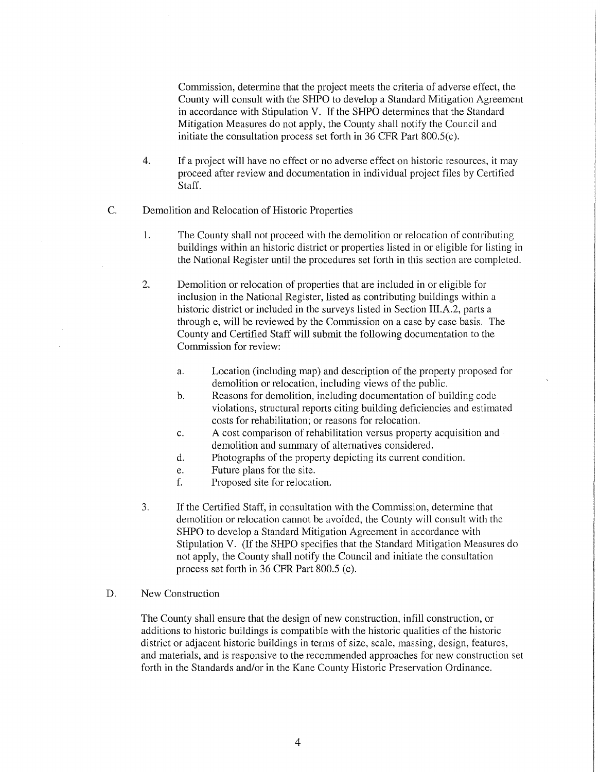Commission, determine that the project meets the criteria of adverse effect, the County will consult with the SHPO to develop a Standard Mitigation Agreement in accordance with Stipulation V. If the SHPO determines that the Standard Mitigation Measures do not apply, the County shall notify the Council and initiate the consultation process set forth in 36 CPR Part 800.S(c).

- 4. If a project will have no effect or no adverse effect on historic resources, it may proceed after review and documentation in individual project files by Certified Staff.
- C. Demolition and Relocation of Historic Properties
	- l. The County shall not proceed with the demolition or relocation of contributing buildings within an historic district or properties listed in or eligible for listing in the National Register until the procedures set forth in this section are completed.
	- 2. Demolition or relocation of properties that are included in or eligible for inclusion in the National Register, listed as contributing buildings within a historic district or included in the surveys listed in Section III.A.2, parts a through e, will be reviewed by the Commission on a case by case basis. The County and Certified Staff will submit the following documentation to the Commission for review:
		- a. Location (including map) and description of the property proposed for demolition or relocation, including views of the public.
		- b. Reasons for demolition, including documentation of building code violations, structural reports citing building deficiencies and estimated costs for rehabilitation; or reasons for relocation.
		- c. A cost comparison of rehabilitation versus property acquisition and demolition and summary of alternatives considered.
		- d. Photographs of the property depicting its current condition.
		- e. Future plans for the site.
		- f. Proposed site for relocation.
	- 3. If the Certified Staff, in consultation with the Commission, determine that demolition or relocation cannot be avoided, the County will consult with the SHPO to develop a Standard Mitigation Agreement in accordance with Stipulation V. (If the SHPO specifies that the Standard Mitigation Measures do not apply, the County shall notify the Council and initiate the consultation process set forth in 36 CPR Part 800.5 (c).

### D. New Construction

The County shall ensure that the design of new construction, infill construction, or additions to historic buildings is compatible with the historic qualities of the historic district or adjacent historic buildings in terms of size, scale, massing, design, features, and materials, and is responsive to the recommended approaches for new construction set forth in the Standards and/or in the Kane County Historic Preservation Ordinance.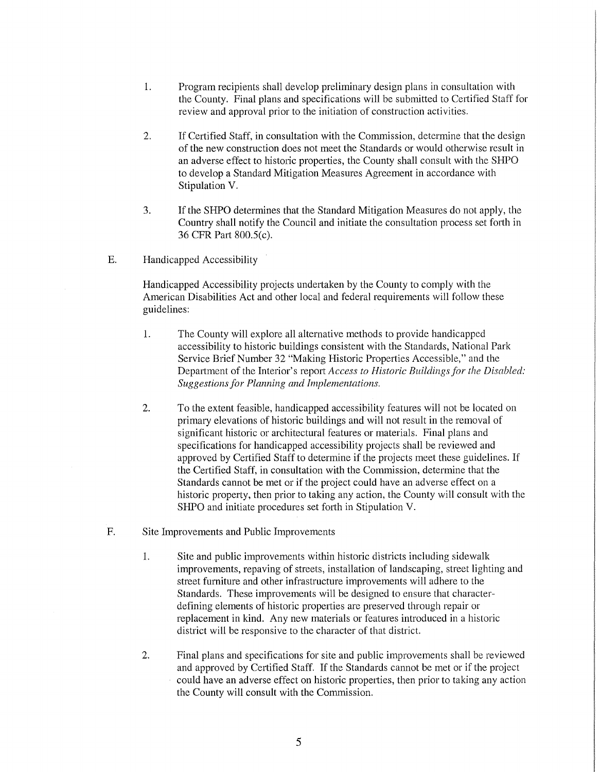- 1. Program recipients shall develop preliminary design plans in consultation with the County. Final plans and specifications will be submitted to Certified Staff for review and approval prior to the initiation of construction activities.
- 2. If Certified Staff, in consultation with the Commission, determine that the design of the new construction does not meet the Standards or would otherwise result in an adverse effect to historic properties, the County shall consult with the SHPO to develop a Standard Mitigation Measures Agreement in accordance with Stipulation V.
- 3. If the SHPO determines that the Standard Mitigation Measures do not apply, the Country shall notify the Council and initiate the consultation process set forth in 36 CFR Part 800.5(c).
- E. Handicapped Accessibility

Handicapped Accessibility projects undertaken by the County to comply with the American Disabilities Act and other local and federal requirements will follow these guidelines:

- 1. The County will explore all alternative methods to provide handicapped accessibility to historic buildings consistent with the Standards, National Park Service Brief Number 32 "Making Historic Properties Accessible," and the Department of the Interior's report *Access to Historic Buildings for the Disabled: Suggestions for Planning and Implementations.*
- 2. To the extent feasible, handicapped accessibility features will not be located on primary elevations of historic buildings and will not result in the removal of significant historic or architectural features or materials. Final plans and specifications for handicapped accessibility projects shall be reviewed and approved by Certified Staff to determine if the projects meet these guidelines. If the Certified Staff, in consultation with the Commission, determine that the Standards cannot be met or if the project could have an adverse effect on a historic property, then prior to taking any action, the County will consult with the SHPO and initiate procedures set forth in Stipulation V.
- F. Site Improvements and Public Improvements
	- 1. Site and public improvements within historic districts including sidewalk improvements, repaving of streets, installation of landscaping, street lighting and street furniture and other infrastructure improvements will adhere to the Standards. These improvements will be designed to ensure that characterdefining elements of historic properties are preserved through repair or replacement in kind. Any new materials or features introduced in a historic district will be responsive to the character of that district.
	- 2. Final plans and specifications for site and public improvements shall be reviewed and approved by Certified Staff. If the Standards cannot be met or if the project could have an adverse effect on historic properties, then prior to taking any action the County will consult with the Commission.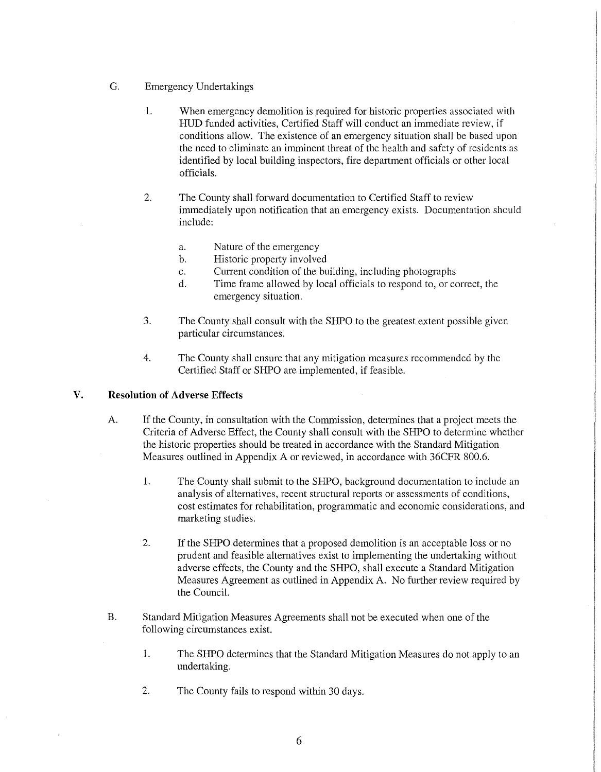- G. Emergency Undertakings
	- 1. When emergency demolition is required for historic properties associated with HUD funded activities, Certified Staff will conduct an immediate review, if conditions allow. The existence of an emergency situation shall be based upon the need to eliminate an imminent threat of the health and safety of residents as identified by local building inspectors, fire department officials or other local officials.
	- 2. The County shall forward documentation to Certified Staff to review immediately upon notification that an emergency exists. Documentation should include:
		- a. Nature of the emergency
		- b. Historic property involved
		- c. Current condition of the building, including photographs
		- d. Time frame allowed by local officials to respond to, or correct, the emergency situation.
	- 3. The County shall consult with the SHPO to the greatest extent possible given particular circumstances.
	- 4. The County shall ensure that any mitigation measures recommended by the Certified Staff or SHPO are implemented, if feasible.

### **V. Resolution of Adverse Effects**

- A. If the County, in consultation with the Commission, determines that a project meets the Criteria of Adverse Effect, the County shall consult with the SHPO to determine whether the historic properties should be treated in accordance with the Standard Mitigation Measures outlined in Appendix A or reviewed, in accordance with 36CFR 800.6.
	- l. The County shall submit to the SHPO, background documentation to include an analysis of alternatives, recent structural reports or assessments of conditions, cost estimates for rehabilitation, programmatic and economic considerations, and marketing studies.
	- 2. If the SHPO determines that a proposed demolition is an acceptable loss or no prudent and feasible alternatives exist to implementing the undertaking without adverse effects, the County and the SHPO, shall execute a Standard Mitigation Measures Agreement as outlined in Appendix A. No further review required by the Council.
- B. Standard Mitigation Measures Agreements shall not be executed when one of the following circumstances exist.
	- l. The SHPO determines that the Standard Mitigation Measures do not apply to an undertaking.
	- 2. The County fails to respond within 30 days.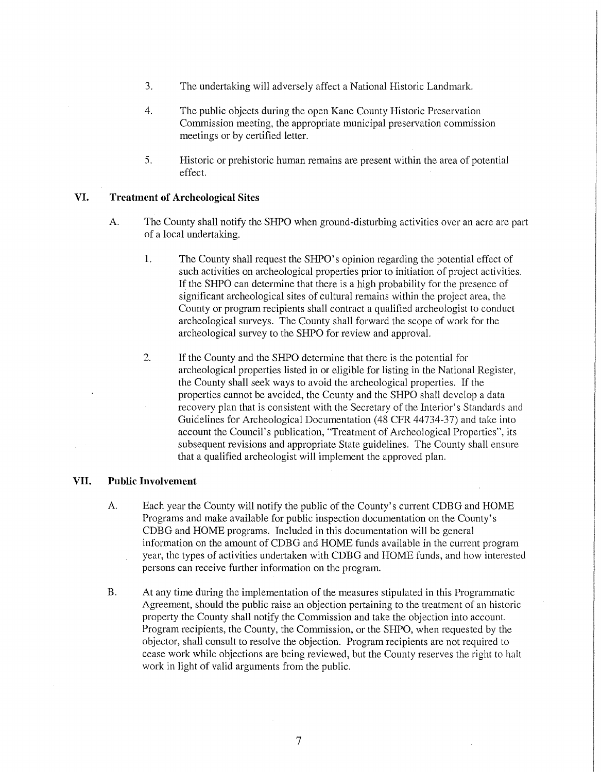- 3. The undertaking will adversely affect a National Historic Landmark.
- 4. The public objects during the open Kane County Historic Preservation Commission meeting, the appropriate municipal preservation commission meetings or by certified letter.
- 5. Historic or prehistoric human remains are present within the area of potential effect.

## **VI. Treatment of Archeological Sites**

- A. The County shall notify the SHPO when ground-disturbing activities over an acre are part of a local undertaking.
	- **1.** The County shall request the SHPO's opinion regarding the potential effect of such activities on archeological properties prior to initiation of project activities. If the SHPO can determine that there is a high probability for the presence of significant archeological sites of cultural remains within the project area, the County or program recipients shall contract a qualified archeologist to conduct archeological surveys. The County shall forward the scope of work for the archeological survey to the SHPO for review and approval.
	- 2. If the County and the SHPO determine that there is the potential for archeological properties listed in or eligible for listing in the National Register, the County shall seek ways to avoid the archeological properties. If the properties cannot be avoided, the County and the SHPO shall develop a data recovery plan that is consistent with the Secretary of the Interior's Standards and Guidelines for Archeological Documentation (48 CFR 44734-37) and take into account the Council's publication, "Treatment of Archeological Properties", its subsequent revisions and appropriate State guidelines. The County shall ensure that a qualified archeologist will implement the approved plan.

## **VII. Public Involvement**

- A. Each year the County will notify the public of the County's current CDBG and HOME Programs and make available for public inspection documentation on the County's CDBG and HOME programs. Included in this documentation will be general information on the amount of CDBG and HOME funds available in the current program year, the types of activities undertaken with CDBG and HOME funds, and how interested persons can receive further information on the program.
- B. At any time during the implementation of the measures stipulated in this Programmatic Agreement, should the public raise an objection pertaining to the treatment of an historic property the County shall notify the Commission and take the objection into account. Program recipients, the County, the Commission, or the SHPO, when requested by the objector, shall consult to resolve the objection. Program recipients are not required to cease work while objections are being reviewed, but the County reserves the right to halt work in light of valid arguments from the public.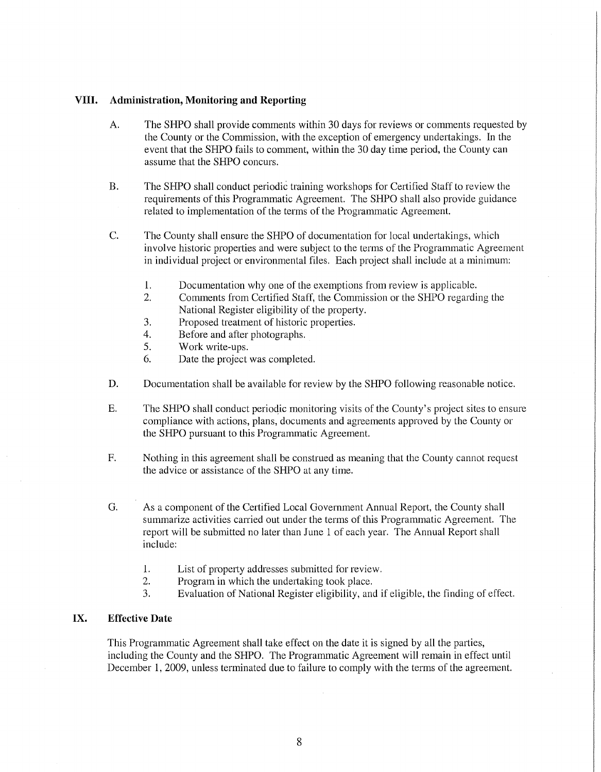#### **VIII. Administration, Monitoring and Reporting**

- A. The SHPO shall provide comments within 30 days for reviews or comments requested by the County or the Commission, with the exception of emergency undertakings. In the event that the SHPO fails to comment, within the 30 day time period, the County can assume that the SHPO concurs.
- B. The SHPO shall conduct periodic training workshops for Certified Staff to review the requirements of this Programmatic Agreement. The SHPO shall also provide guidance related to implementation of the tenns of the Programmatic Agreement.
- C. The County shall ensure the SHPO of documentation for local undertakings, which involve historic properties and were subject to the terms of the Programmatic Agreement in individual project or environmental files. Each project shall include at a minimum:
	- 1. Documentation why one of the exemptions from review is applicable.
	- 2. Comments from Certified Staff, the Commission or the SHPO regarding the National Register eligibility of the property.
	- 3. Proposed treatment of historic properties.
	- 4. Before and after photographs.
	- 5. Work write-ups.
	- 6. Date the project was completed.
- D. Documentation shall be available for review by the SHPO following reasonable notice.
- E. The SHPO shall conduct periodic monitoring visits of the County's project sites to ensure compliance with actions, plans, documents and agreements approved by the County or the SHPO pursuant to this Programmatic Agreement.
- F. Nothing in this agreement shall be construed as meaning that the County cannot request the advice or assistance of the SHPO at any time.
- G. As a component of the Certified Local Government Annual Report, the County shall smmnarize activities carried out under the terms of this Programmatic Agreement. The report will be submitted no later than June 1 of each year. The Annual Report shall include:
	- l. List of property addresses submitted for review.
	- 2. Program in which the undertaking took place.
	- 3. Evaluation of National Register eligibility, and if eligible, the finding of effect.

## **IX. Effective Date**

This Programmatic Agreement shall take effect on the date it is signed by all the parties, including the County and the SHPO. The Programmatic Agreement will remain in effect until December 1, 2009, unless terminated due to failure to comply with the terms of the agreement.